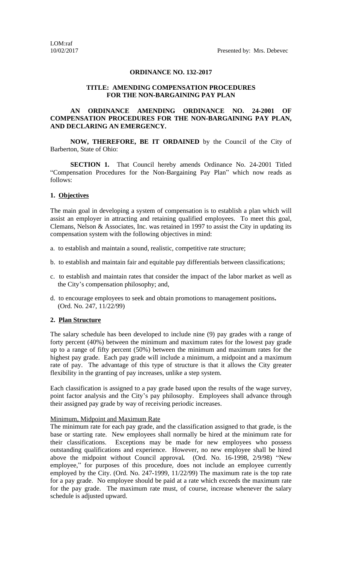#### **ORDINANCE NO. 132-2017**

### **TITLE: AMENDING COMPENSATION PROCEDURES FOR THE NON-BARGAINING PAY PLAN**

### **AN ORDINANCE AMENDING ORDINANCE NO. 24-2001 OF COMPENSATION PROCEDURES FOR THE NON-BARGAINING PAY PLAN, AND DECLARING AN EMERGENCY.**

**NOW, THEREFORE, BE IT ORDAINED** by the Council of the City of Barberton, State of Ohio:

**SECTION 1.** That Council hereby amends Ordinance No. 24-2001 Titled "Compensation Procedures for the Non-Bargaining Pay Plan" which now reads as follows:

### **1. Objectives**

The main goal in developing a system of compensation is to establish a plan which will assist an employer in attracting and retaining qualified employees. To meet this goal, Clemans, Nelson & Associates, Inc. was retained in 1997 to assist the City in updating its compensation system with the following objectives in mind:

- a. to establish and maintain a sound, realistic, competitive rate structure;
- b. to establish and maintain fair and equitable pay differentials between classifications;
- c. to establish and maintain rates that consider the impact of the labor market as well as the City's compensation philosophy; and,
- d. to encourage employees to seek and obtain promotions to management positions**.** (Ord. No. 247, 11/22/99)

#### **2. Plan Structure**

The salary schedule has been developed to include nine (9) pay grades with a range of forty percent (40%) between the minimum and maximum rates for the lowest pay grade up to a range of fifty percent (50%) between the minimum and maximum rates for the highest pay grade. Each pay grade will include a minimum, a midpoint and a maximum rate of pay. The advantage of this type of structure is that it allows the City greater flexibility in the granting of pay increases, unlike a step system.

Each classification is assigned to a pay grade based upon the results of the wage survey, point factor analysis and the City's pay philosophy. Employees shall advance through their assigned pay grade by way of receiving periodic increases.

### Minimum, Midpoint and Maximum Rate

The minimum rate for each pay grade, and the classification assigned to that grade, is the base or starting rate. New employees shall normally be hired at the minimum rate for their classifications. Exceptions may be made for new employees who possess outstanding qualifications and experience. However, no new employee shall be hired above the midpoint without Council approval*.* (Ord. No. 16-1998, 2/9/98) "New employee," for purposes of this procedure, does not include an employee currently employed by the City. (Ord. No. 247-1999, 11/22/99) The maximum rate is the top rate for a pay grade. No employee should be paid at a rate which exceeds the maximum rate for the pay grade. The maximum rate must, of course, increase whenever the salary schedule is adjusted upward.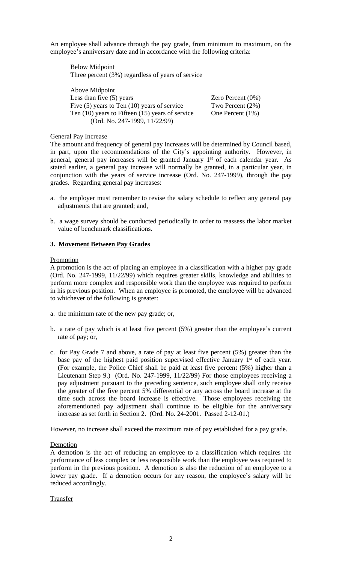An employee shall advance through the pay grade, from minimum to maximum, on the employee's anniversary date and in accordance with the following criteria:

Below Midpoint Three percent (3%) regardless of years of service

| Above Midpoint                                      |                      |
|-----------------------------------------------------|----------------------|
| Less than five $(5)$ years                          | Zero Percent $(0\%)$ |
| Five $(5)$ years to Ten $(10)$ years of service     | Two Percent $(2\%)$  |
| Ten $(10)$ years to Fifteen $(15)$ years of service | One Percent (1%)     |
| (Ord. No. 247-1999, $11/22/99$ )                    |                      |

### General Pay Increase

The amount and frequency of general pay increases will be determined by Council based, in part, upon the recommendations of the City's appointing authority. However, in general, general pay increases will be granted January 1<sup>st</sup> of each calendar year. As stated earlier, a general pay increase will normally be granted, in a particular year, in conjunction with the years of service increase (Ord. No. 247-1999), through the pay grades. Regarding general pay increases:

- a. the employer must remember to revise the salary schedule to reflect any general pay adjustments that are granted; and,
- b. a wage survey should be conducted periodically in order to reassess the labor market value of benchmark classifications.

# **3. Movement Between Pay Grades**

## **Promotion**

A promotion is the act of placing an employee in a classification with a higher pay grade (Ord. No. 247-1999, 11/22/99) which requires greater skills, knowledge and abilities to perform more complex and responsible work than the employee was required to perform in his previous position. When an employee is promoted, the employee will be advanced to whichever of the following is greater:

- a. the minimum rate of the new pay grade; or,
- b. a rate of pay which is at least five percent (5%) greater than the employee's current rate of pay; or,
- c. for Pay Grade 7 and above, a rate of pay at least five percent (5%) greater than the base pay of the highest paid position supervised effective January 1<sup>st</sup> of each year. (For example, the Police Chief shall be paid at least five percent (5%) higher than a Lieutenant Step 9.) (Ord. No. 247-1999, 11/22/99) For those employees receiving a pay adjustment pursuant to the preceding sentence, such employee shall only receive the greater of the five percent 5% differential or any across the board increase at the time such across the board increase is effective. Those employees receiving the aforementioned pay adjustment shall continue to be eligible for the anniversary increase as set forth in Section 2. (Ord. No. 24-2001. Passed 2-12-01.)

However, no increase shall exceed the maximum rate of pay established for a pay grade.

## Demotion

A demotion is the act of reducing an employee to a classification which requires the performance of less complex or less responsible work than the employee was required to perform in the previous position. A demotion is also the reduction of an employee to a lower pay grade. If a demotion occurs for any reason, the employee's salary will be reduced accordingly.

## **Transfer**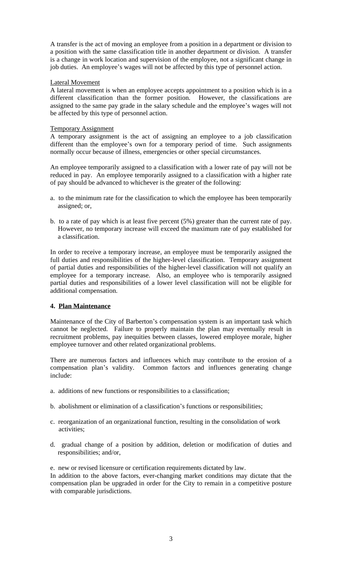A transfer is the act of moving an employee from a position in a department or division to a position with the same classification title in another department or division. A transfer is a change in work location and supervision of the employee, not a significant change in job duties. An employee's wages will not be affected by this type of personnel action.

## Lateral Movement

A lateral movement is when an employee accepts appointment to a position which is in a different classification than the former position. However, the classifications are assigned to the same pay grade in the salary schedule and the employee's wages will not be affected by this type of personnel action.

## Temporary Assignment

A temporary assignment is the act of assigning an employee to a job classification different than the employee's own for a temporary period of time. Such assignments normally occur because of illness, emergencies or other special circumstances.

An employee temporarily assigned to a classification with a lower rate of pay will not be reduced in pay. An employee temporarily assigned to a classification with a higher rate of pay should be advanced to whichever is the greater of the following:

- a. to the minimum rate for the classification to which the employee has been temporarily assigned; or,
- b. to a rate of pay which is at least five percent (5%) greater than the current rate of pay. However, no temporary increase will exceed the maximum rate of pay established for a classification.

In order to receive a temporary increase, an employee must be temporarily assigned the full duties and responsibilities of the higher-level classification. Temporary assignment of partial duties and responsibilities of the higher-level classification will not qualify an employee for a temporary increase. Also, an employee who is temporarily assigned partial duties and responsibilities of a lower level classification will not be eligible for additional compensation.

# **4. Plan Maintenance**

Maintenance of the City of Barberton's compensation system is an important task which cannot be neglected. Failure to properly maintain the plan may eventually result in recruitment problems, pay inequities between classes, lowered employee morale, higher employee turnover and other related organizational problems.

There are numerous factors and influences which may contribute to the erosion of a compensation plan's validity. Common factors and influences generating change include:

- a. additions of new functions or responsibilities to a classification;
- b. abolishment or elimination of a classification's functions or responsibilities;
- c. reorganization of an organizational function, resulting in the consolidation of work activities;
- d. gradual change of a position by addition, deletion or modification of duties and responsibilities; and/or,

e. new or revised licensure or certification requirements dictated by law.

In addition to the above factors, ever-changing market conditions may dictate that the compensation plan be upgraded in order for the City to remain in a competitive posture with comparable jurisdictions.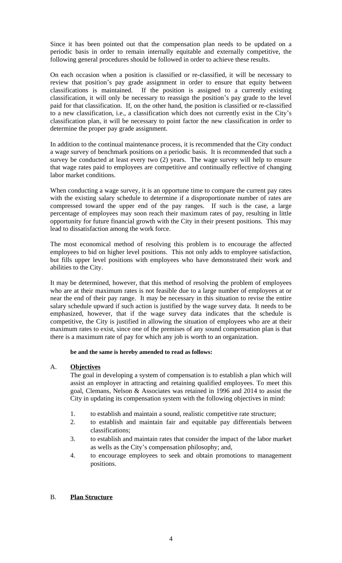Since it has been pointed out that the compensation plan needs to be updated on a periodic basis in order to remain internally equitable and externally competitive, the following general procedures should be followed in order to achieve these results.

On each occasion when a position is classified or re-classified, it will be necessary to review that position's pay grade assignment in order to ensure that equity between classifications is maintained. If the position is assigned to a currently existing classification, it will only be necessary to reassign the position's pay grade to the level paid for that classification. If, on the other hand, the position is classified or re-classified to a new classification, i.e., a classification which does not currently exist in the City's classification plan, it will be necessary to point factor the new classification in order to determine the proper pay grade assignment.

In addition to the continual maintenance process, it is recommended that the City conduct a wage survey of benchmark positions on a periodic basis. It is recommended that such a survey be conducted at least every two (2) years. The wage survey will help to ensure that wage rates paid to employees are competitive and continually reflective of changing labor market conditions.

When conducting a wage survey, it is an opportune time to compare the current pay rates with the existing salary schedule to determine if a disproportionate number of rates are compressed toward the upper end of the pay ranges. If such is the case, a large percentage of employees may soon reach their maximum rates of pay, resulting in little opportunity for future financial growth with the City in their present positions. This may lead to dissatisfaction among the work force.

The most economical method of resolving this problem is to encourage the affected employees to bid on higher level positions. This not only adds to employee satisfaction, but fills upper level positions with employees who have demonstrated their work and abilities to the City.

It may be determined, however, that this method of resolving the problem of employees who are at their maximum rates is not feasible due to a large number of employees at or near the end of their pay range. It may be necessary in this situation to revise the entire salary schedule upward if such action is justified by the wage survey data. It needs to be emphasized, however, that if the wage survey data indicates that the schedule is competitive, the City is justified in allowing the situation of employees who are at their maximum rates to exist, since one of the premises of any sound compensation plan is that there is a maximum rate of pay for which any job is worth to an organization.

**be and the same is hereby amended to read as follows:**

## A. **Objectives**

The goal in developing a system of compensation is to establish a plan which will assist an employer in attracting and retaining qualified employees. To meet this goal, Clemans, Nelson & Associates was retained in 1996 and 2014 to assist the City in updating its compensation system with the following objectives in mind:

- 1. to establish and maintain a sound, realistic competitive rate structure;
- 2. to establish and maintain fair and equitable pay differentials between classifications;
- 3. to establish and maintain rates that consider the impact of the labor market as wells as the City's compensation philosophy; and,
- 4. to encourage employees to seek and obtain promotions to management positions.

## B. **Plan Structure**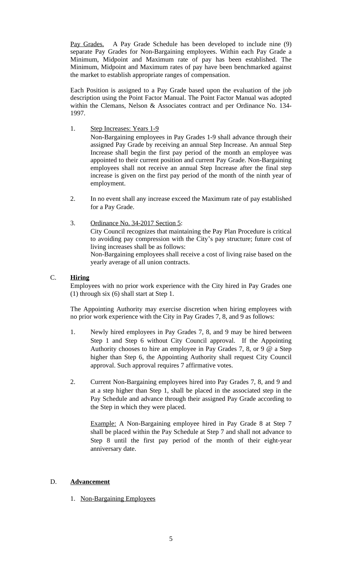Pay Grades. A Pay Grade Schedule has been developed to include nine (9) separate Pay Grades for Non-Bargaining employees. Within each Pay Grade a Minimum, Midpoint and Maximum rate of pay has been established. The Minimum, Midpoint and Maximum rates of pay have been benchmarked against the market to establish appropriate ranges of compensation.

Each Position is assigned to a Pay Grade based upon the evaluation of the job description using the Point Factor Manual. The Point Factor Manual was adopted within the Clemans, Nelson & Associates contract and per Ordinance No. 134- 1997.

1. Step Increases: Years 1-9

Non-Bargaining employees in Pay Grades 1-9 shall advance through their assigned Pay Grade by receiving an annual Step Increase. An annual Step Increase shall begin the first pay period of the month an employee was appointed to their current position and current Pay Grade. Non-Bargaining employees shall not receive an annual Step Increase after the final step increase is given on the first pay period of the month of the ninth year of employment.

- 2. In no event shall any increase exceed the Maximum rate of pay established for a Pay Grade.
- 3. Ordinance No. 34-2017 Section 5: City Council recognizes that maintaining the Pay Plan Procedure is critical to avoiding pay compression with the City's pay structure; future cost of living increases shall be as follows: Non-Bargaining employees shall receive a cost of living raise based on the yearly average of all union contracts.

# C. **Hiring**

Employees with no prior work experience with the City hired in Pay Grades one (1) through six (6) shall start at Step 1.

The Appointing Authority may exercise discretion when hiring employees with no prior work experience with the City in Pay Grades 7, 8, and 9 as follows:

- 1. Newly hired employees in Pay Grades 7, 8, and 9 may be hired between Step 1 and Step 6 without City Council approval. If the Appointing Authority chooses to hire an employee in Pay Grades 7, 8, or 9 @ a Step higher than Step 6, the Appointing Authority shall request City Council approval. Such approval requires 7 affirmative votes.
- 2. Current Non-Bargaining employees hired into Pay Grades 7, 8, and 9 and at a step higher than Step 1, shall be placed in the associated step in the Pay Schedule and advance through their assigned Pay Grade according to the Step in which they were placed.

Example: A Non-Bargaining employee hired in Pay Grade 8 at Step 7 shall be placed within the Pay Schedule at Step 7 and shall not advance to Step 8 until the first pay period of the month of their eight-year anniversary date.

## D. **Advancement**

1. Non-Bargaining Employees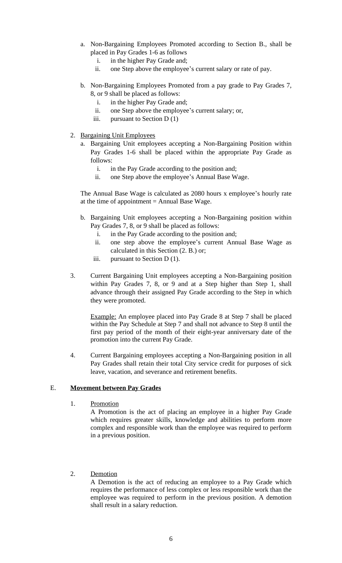- a. Non-Bargaining Employees Promoted according to Section B., shall be placed in Pay Grades 1-6 as follows
	- i. in the higher Pay Grade and;
	- ii. one Step above the employee's current salary or rate of pay.
- b. Non-Bargaining Employees Promoted from a pay grade to Pay Grades 7, 8, or 9 shall be placed as follows:
	- i. in the higher Pay Grade and;
	- ii. one Step above the employee's current salary; or,
	- iii. pursuant to Section  $D(1)$
- 2. Bargaining Unit Employees
	- a. Bargaining Unit employees accepting a Non-Bargaining Position within Pay Grades 1-6 shall be placed within the appropriate Pay Grade as follows:
		- i. in the Pay Grade according to the position and;
		- ii. one Step above the employee's Annual Base Wage.

The Annual Base Wage is calculated as 2080 hours x employee's hourly rate at the time of appointment  $=$  Annual Base Wage.

- b. Bargaining Unit employees accepting a Non-Bargaining position within Pay Grades 7, 8, or 9 shall be placed as follows:
	- i. in the Pay Grade according to the position and;
	- ii. one step above the employee's current Annual Base Wage as calculated in this Section (2. B.) or;
	- iii. pursuant to Section D (1).
- 3. Current Bargaining Unit employees accepting a Non-Bargaining position within Pay Grades 7, 8, or 9 and at a Step higher than Step 1, shall advance through their assigned Pay Grade according to the Step in which they were promoted.

Example: An employee placed into Pay Grade 8 at Step 7 shall be placed within the Pay Schedule at Step 7 and shall not advance to Step 8 until the first pay period of the month of their eight-year anniversary date of the promotion into the current Pay Grade.

4. Current Bargaining employees accepting a Non-Bargaining position in all Pay Grades shall retain their total City service credit for purposes of sick leave, vacation, and severance and retirement benefits.

# E. **Movement between Pay Grades**

1. Promotion

A Promotion is the act of placing an employee in a higher Pay Grade which requires greater skills, knowledge and abilities to perform more complex and responsible work than the employee was required to perform in a previous position.

## 2. Demotion

A Demotion is the act of reducing an employee to a Pay Grade which requires the performance of less complex or less responsible work than the employee was required to perform in the previous position. A demotion shall result in a salary reduction.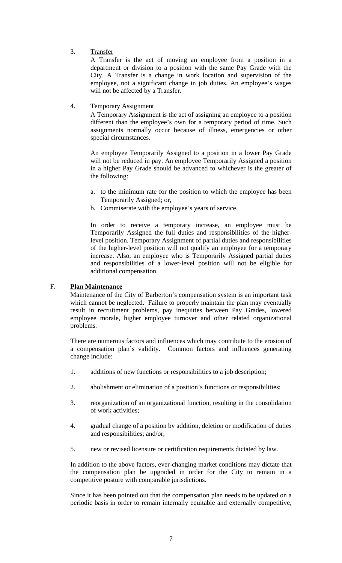# 3. Transfer

A Transfer is the act of moving an employee from a position in a department or division to a position with the same Pay Grade with the City. A Transfer is a change in work location and supervision of the employee, not a significant change in job duties. An employee's wages will not be affected by a Transfer.

## 4. Temporary Assignment

A Temporary Assignment is the act of assigning an employee to a position different than the employee's own for a temporary period of time. Such assignments normally occur because of illness, emergencies or other special circumstances.

An employee Temporarily Assigned to a position in a lower Pay Grade will not be reduced in pay. An employee Temporarily Assigned a position in a higher Pay Grade should be advanced to whichever is the greater of the following:

- a. to the minimum rate for the position to which the employee has been Temporarily Assigned; or,
- b. Commiserate with the employee's years of service.

In order to receive a temporary increase, an employee must be Temporarily Assigned the full duties and responsibilities of the higherlevel position. Temporary Assignment of partial duties and responsibilities of the higher-level position will not qualify an employee for a temporary increase. Also, an employee who is Temporarily Assigned partial duties and responsibilities of a lower-level position will not be eligible for additional compensation.

# F. **Plan Maintenance**

Maintenance of the City of Barberton's compensation system is an important task which cannot be neglected. Failure to properly maintain the plan may eventually result in recruitment problems, pay inequities between Pay Grades, lowered employee morale, higher employee turnover and other related organizational problems.

There are numerous factors and influences which may contribute to the erosion of a compensation plan's validity. Common factors and influences generating change include:

- 1. additions of new functions or responsibilities to a job description;
- 2. abolishment or elimination of a position's functions or responsibilities;
- 3. reorganization of an organizational function, resulting in the consolidation of work activities;
- 4. gradual change of a position by addition, deletion or modification of duties and responsibilities; and/or;
- 5. new or revised licensure or certification requirements dictated by law.

In addition to the above factors, ever-changing market conditions may dictate that the compensation plan be upgraded in order for the City to remain in a competitive posture with comparable jurisdictions.

Since it has been pointed out that the compensation plan needs to be updated on a periodic basis in order to remain internally equitable and externally competitive,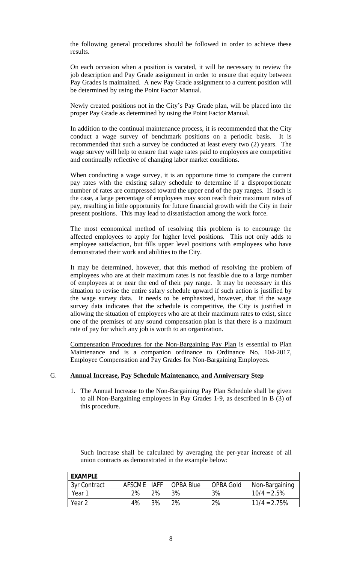the following general procedures should be followed in order to achieve these results.

On each occasion when a position is vacated, it will be necessary to review the job description and Pay Grade assignment in order to ensure that equity between Pay Grades is maintained. A new Pay Grade assignment to a current position will be determined by using the Point Factor Manual.

Newly created positions not in the City's Pay Grade plan, will be placed into the proper Pay Grade as determined by using the Point Factor Manual.

In addition to the continual maintenance process, it is recommended that the City conduct a wage survey of benchmark positions on a periodic basis. It is recommended that such a survey be conducted at least every two (2) years. The wage survey will help to ensure that wage rates paid to employees are competitive and continually reflective of changing labor market conditions.

When conducting a wage survey, it is an opportune time to compare the current pay rates with the existing salary schedule to determine if a disproportionate number of rates are compressed toward the upper end of the pay ranges. If such is the case, a large percentage of employees may soon reach their maximum rates of pay, resulting in little opportunity for future financial growth with the City in their present positions. This may lead to dissatisfaction among the work force.

The most economical method of resolving this problem is to encourage the affected employees to apply for higher level positions. This not only adds to employee satisfaction, but fills upper level positions with employees who have demonstrated their work and abilities to the City.

It may be determined, however, that this method of resolving the problem of employees who are at their maximum rates is not feasible due to a large number of employees at or near the end of their pay range. It may be necessary in this situation to revise the entire salary schedule upward if such action is justified by the wage survey data. It needs to be emphasized, however, that if the wage survey data indicates that the schedule is competitive, the City is justified in allowing the situation of employees who are at their maximum rates to exist, since one of the premises of any sound compensation plan is that there is a maximum rate of pay for which any job is worth to an organization.

Compensation Procedures for the Non-Bargaining Pay Plan is essential to Plan Maintenance and is a companion ordinance to Ordinance No. 104-2017, Employee Compensation and Pay Grades for Non-Bargaining Employees.

### G. **Annual Increase, Pay Schedule Maintenance, and Anniversary Step**

1. The Annual Increase to the Non-Bargaining Pay Plan Schedule shall be given to all Non-Bargaining employees in Pay Grades 1-9, as described in B (3) of this procedure.

Such Increase shall be calculated by averaging the per-year increase of all union contracts as demonstrated in the example below:

| <b>EXAMPLE</b> |        |      |           |           |                |
|----------------|--------|------|-----------|-----------|----------------|
| 3yr Contract   | AFSCME | IAFF | OPBA Blue | OPBA Gold | Non-Bargaining |
| Year 1         | 2%     | 2%   | 3%        | 3%        | $10/4 = 2.5\%$ |
| Year 2         | 4%     | 3%   | ን%        | 2%        | $11/4 = 2.75%$ |